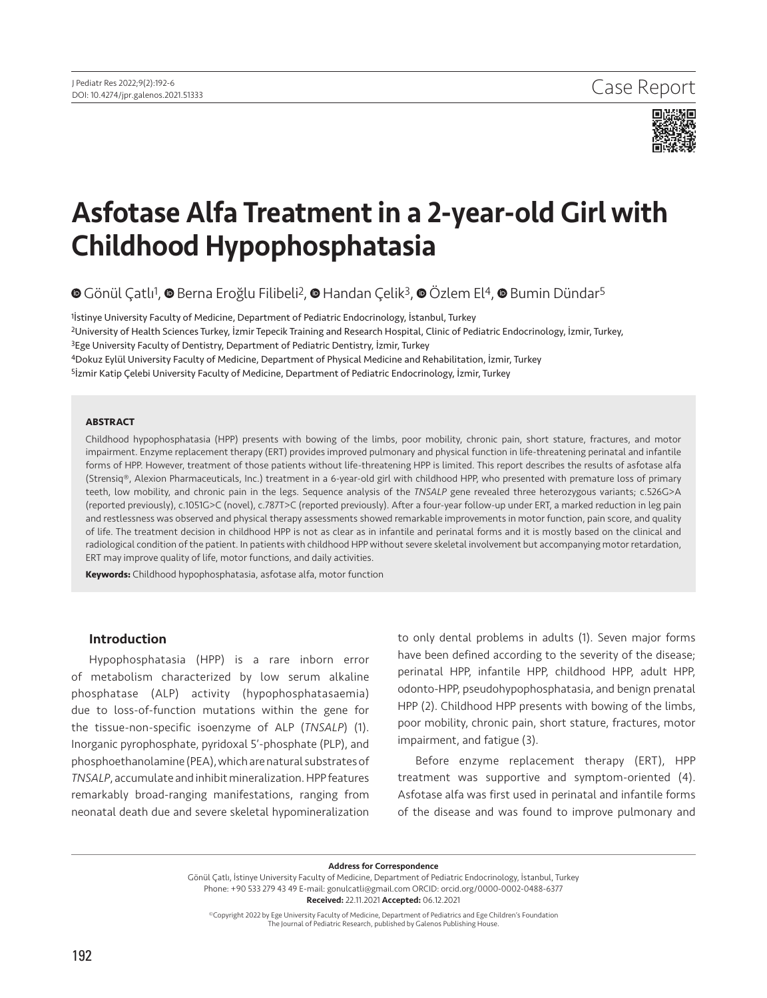

# Asfotase Alfa Treatment in a 2-year-old Girl with Childhood Hypophosphatasia

**©**Gönül Catlı<sup>1</sup>, © Berna Eroğlu Filibeli<sup>2</sup>, © Handan Celik<sup>3</sup>, © Özlem El<sup>4</sup>, © Bumin Dündar<sup>5</sup>

İstinye University Faculty of Medicine, Department of Pediatric Endocrinology, İstanbul, Turkey University of Health Sciences Turkey, İzmir Tepecik Training and Research Hospital, Clinic of Pediatric Endocrinology, İzmir, Turkey, <sup>3</sup>Ege University Faculty of Dentistry, Department of Pediatric Dentistry, İzmir, Turkey Dokuz Eylül University Faculty of Medicine, Department of Physical Medicine and Rehabilitation, İzmir, Turkey **İzmir Katip Çelebi University Faculty of Medicine, Department of Pediatric Endocrinology, İzmir, Turkey** 

#### **ABSTRACT**

Childhood hypophosphatasia (HPP) presents with bowing of the limbs, poor mobility, chronic pain, short stature, fractures, and motor impairment. Enzyme replacement therapy (ERT) provides improved pulmonary and physical function in life-threatening perinatal and infantile forms of HPP. However, treatment of those patients without life-threatening HPP is limited. This report describes the results of asfotase alfa (Strensiq®, Alexion Pharmaceuticals, Inc.) treatment in a 6-year-old girl with childhood HPP, who presented with premature loss of primary teeth, low mobility, and chronic pain in the legs. Sequence analysis of the *TNSALP* gene revealed three heterozygous variants; c.526G>A (reported previously), c.1051G>C (novel), c.787T>C (reported previously). After a four-year follow-up under ERT, a marked reduction in leg pain and restlessness was observed and physical therapy assessments showed remarkable improvements in motor function, pain score, and quality of life. The treatment decision in childhood HPP is not as clear as in infantile and perinatal forms and it is mostly based on the clinical and radiological condition of the patient. In patients with childhood HPP without severe skeletal involvement but accompanying motor retardation, ERT may improve quality of life, motor functions, and daily activities.

**Keywords:** Childhood hypophosphatasia, asfotase alfa, motor function

#### Introduction

Hypophosphatasia (HPP) is a rare inborn error of metabolism characterized by low serum alkaline phosphatase (ALP) activity (hypophosphatasaemia) due to loss-of-function mutations within the gene for the tissue-non-specific isoenzyme of ALP (*TNSALP*) (1). Inorganic pyrophosphate, pyridoxal 5'-phosphate (PLP), and phosphoethanolamine (PEA), which are natural substrates of *TNSALP*, accumulate and inhibit mineralization. HPP features remarkably broad-ranging manifestations, ranging from neonatal death due and severe skeletal hypomineralization

to only dental problems in adults (1). Seven major forms have been defined according to the severity of the disease; perinatal HPP, infantile HPP, childhood HPP, adult HPP, odonto-HPP, pseudohypophosphatasia, and benign prenatal HPP (2). Childhood HPP presents with bowing of the limbs, poor mobility, chronic pain, short stature, fractures, motor impairment, and fatigue (3).

Before enzyme replacement therapy (ERT), HPP treatment was supportive and symptom-oriented (4). Asfotase alfa was first used in perinatal and infantile forms of the disease and was found to improve pulmonary and

Address for Correspondence

Gönül Çatlı, İstinye University Faculty of Medicine, Department of Pediatric Endocrinology, İstanbul, Turkey Phone: +90 533 279 43 49 E-mail: gonulcatli@gmail.com ORCID: orcid.org/0000-0002-0488-6377 Received: 22.11.2021 Accepted: 06.12.2021

©Copyright 2022 by Ege University Faculty of Medicine, Department of Pediatrics and Ege Children's Foundation The Journal of Pediatric Research, published by Galenos Publishing House.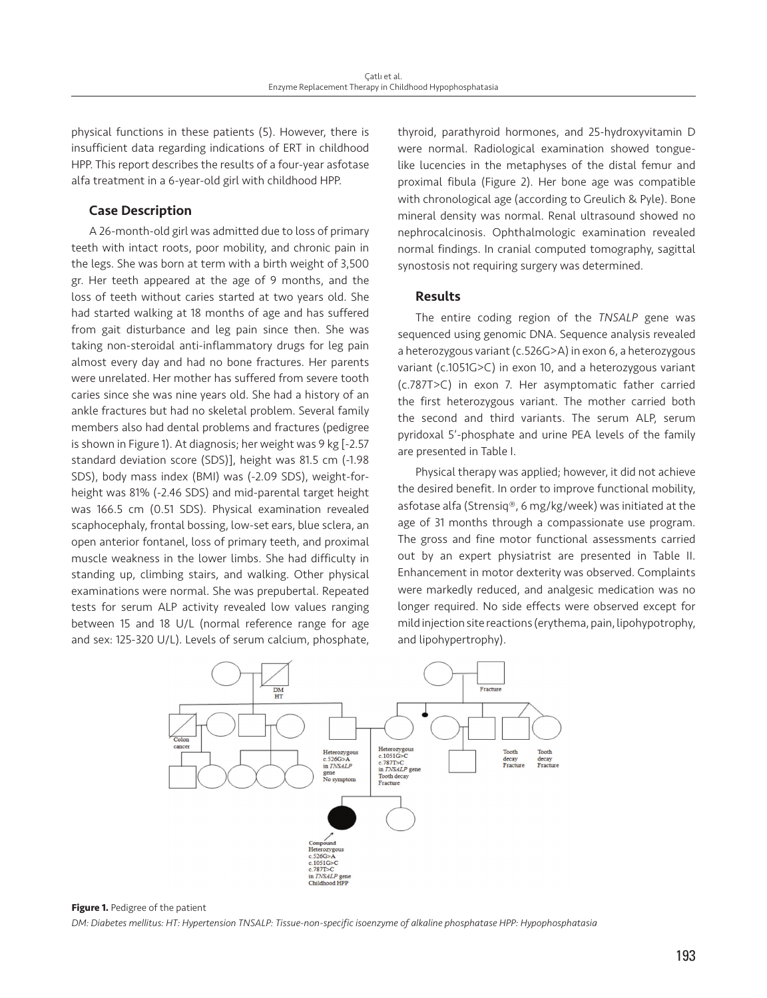physical functions in these patients (5). However, there is insufficient data regarding indications of ERT in childhood HPP. This report describes the results of a four-year asfotase alfa treatment in a 6-year-old girl with childhood HPP.

# Case Description

A 26-month-old girl was admitted due to loss of primary teeth with intact roots, poor mobility, and chronic pain in the legs. She was born at term with a birth weight of 3,500 gr. Her teeth appeared at the age of 9 months, and the loss of teeth without caries started at two years old. She had started walking at 18 months of age and has suffered from gait disturbance and leg pain since then. She was taking non-steroidal anti-inflammatory drugs for leg pain almost every day and had no bone fractures. Her parents were unrelated. Her mother has suffered from severe tooth caries since she was nine years old. She had a history of an ankle fractures but had no skeletal problem. Several family members also had dental problems and fractures (pedigree is shown in Figure 1). At diagnosis; her weight was 9 kg [-2.57 standard deviation score (SDS)], height was 81.5 cm (-1.98 SDS), body mass index (BMI) was (-2.09 SDS), weight-forheight was 81% (-2.46 SDS) and mid-parental target height was 166.5 cm (0.51 SDS). Physical examination revealed scaphocephaly, frontal bossing, low-set ears, blue sclera, an open anterior fontanel, loss of primary teeth, and proximal muscle weakness in the lower limbs. She had difficulty in standing up, climbing stairs, and walking. Other physical examinations were normal. She was prepubertal. Repeated tests for serum ALP activity revealed low values ranging between 15 and 18 U/L (normal reference range for age and sex: 125-320 U/L). Levels of serum calcium, phosphate,

thyroid, parathyroid hormones, and 25-hydroxyvitamin D were normal. Radiological examination showed tonguelike lucencies in the metaphyses of the distal femur and proximal fibula (Figure 2). Her bone age was compatible with chronological age (according to Greulich & Pyle). Bone mineral density was normal. Renal ultrasound showed no nephrocalcinosis. Ophthalmologic examination revealed normal findings. In cranial computed tomography, sagittal synostosis not requiring surgery was determined.

# Results

The entire coding region of the *TNSALP* gene was sequenced using genomic DNA. Sequence analysis revealed a heterozygous variant (c.526G>A) in exon 6, a heterozygous variant (c.1051G>C) in exon 10, and a heterozygous variant (c.787T>C) in exon 7. Her asymptomatic father carried the first heterozygous variant. The mother carried both the second and third variants. The serum ALP, serum pyridoxal 5'-phosphate and urine PEA levels of the family are presented in Table I.

Physical therapy was applied; however, it did not achieve the desired benefit. In order to improve functional mobility, asfotase alfa (Strensiq®, 6 mg/kg/week) was initiated at the age of 31 months through a compassionate use program. The gross and fine motor functional assessments carried out by an expert physiatrist are presented in Table II. Enhancement in motor dexterity was observed. Complaints were markedly reduced, and analgesic medication was no longer required. No side effects were observed except for mild injection site reactions (erythema, pain, lipohypotrophy, and lipohypertrophy).



**Figure 1.** Pedigree of the patient

*DM: Diabetes mellitus: HT: Hypertension TNSALP: Tissue-non-specific isoenzyme of alkaline phosphatase HPP: Hypophosphatasia*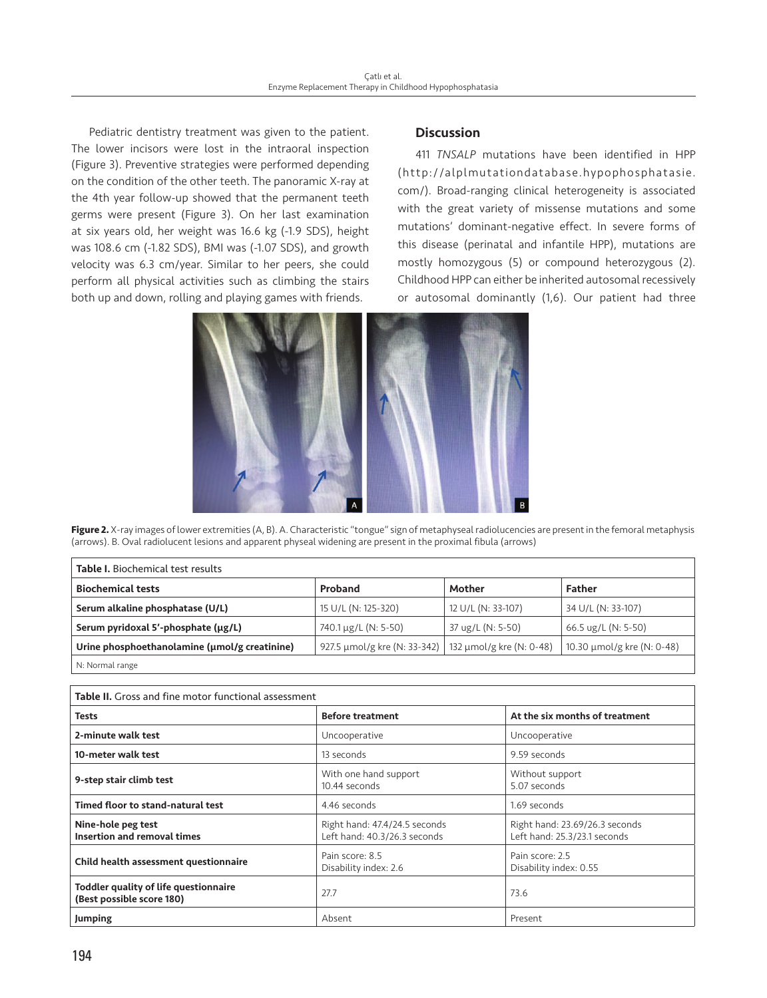Pediatric dentistry treatment was given to the patient. The lower incisors were lost in the intraoral inspection (Figure 3). Preventive strategies were performed depending on the condition of the other teeth. The panoramic X-ray at the 4th year follow-up showed that the permanent teeth germs were present (Figure 3). On her last examination at six years old, her weight was 16.6 kg (-1.9 SDS), height was 108.6 cm (-1.82 SDS), BMI was (-1.07 SDS), and growth velocity was 6.3 cm/year. Similar to her peers, she could perform all physical activities such as climbing the stairs both up and down, rolling and playing games with friends.

# **Discussion**

411 *TNSALP* mutations have been identified in HPP (http://alplmutationdatabase.hypophosphatasie. com/). Broad-ranging clinical heterogeneity is associated with the great variety of missense mutations and some mutations' dominant-negative effect. In severe forms of this disease (perinatal and infantile HPP), mutations are mostly homozygous (5) or compound heterozygous (2). Childhood HPP can either be inherited autosomal recessively or autosomal dominantly (1,6). Our patient had three



**Figure 2.** X-ray images of lower extremities (A, B). A. Characteristic "tongue" sign of metaphyseal radiolucencies are present in the femoral metaphysis (arrows). B. Oval radiolucent lesions and apparent physeal widening are present in the proximal fibula (arrows)

| <b>Table I.</b> Biochemical test results      |                              |                          |                            |  |
|-----------------------------------------------|------------------------------|--------------------------|----------------------------|--|
| <b>Biochemical tests</b>                      | Proband                      | Mother                   | <b>Father</b>              |  |
| Serum alkaline phosphatase (U/L)              | 15 U/L (N: 125-320)          | 12 U/L (N: 33-107)       | 34 U/L (N: 33-107)         |  |
| Serum pyridoxal 5'-phosphate (µg/L)           | 740.1 µg/L (N: 5-50)         | 37 ug/L (N: 5-50)        | 66.5 ug/L (N: 5-50)        |  |
| Urine phosphoethanolamine (umol/g creatinine) | 927.5 µmol/g kre (N: 33-342) | 132 µmol/g kre (N: 0-48) | 10.30 μmol/g kre (N: 0-48) |  |
| N: Normal range                               |                              |                          |                            |  |

| Table II. Gross and fine motor functional assessment               |                                                               |                                                                |  |
|--------------------------------------------------------------------|---------------------------------------------------------------|----------------------------------------------------------------|--|
| <b>Tests</b>                                                       | <b>Before treatment</b>                                       | At the six months of treatment                                 |  |
| 2-minute walk test                                                 | Uncooperative                                                 | Uncooperative                                                  |  |
| 10-meter walk test                                                 | 13 seconds                                                    | 9.59 seconds                                                   |  |
| 9-step stair climb test                                            | With one hand support<br>10.44 seconds                        | Without support<br>5.07 seconds                                |  |
| Timed floor to stand-natural test                                  | 4.46 seconds                                                  | 1.69 seconds                                                   |  |
| Nine-hole peg test<br><b>Insertion and removal times</b>           | Right hand: 47.4/24.5 seconds<br>Left hand: 40.3/26.3 seconds | Right hand: 23.69/26.3 seconds<br>Left hand: 25.3/23.1 seconds |  |
| Child health assessment questionnaire                              | Pain score: 8.5<br>Disability index: 2.6                      | Pain score: 2.5<br>Disability index: 0.55                      |  |
| Toddler quality of life questionnaire<br>(Best possible score 180) | 27.7                                                          | 73.6                                                           |  |
| Jumping                                                            | Absent                                                        | Present                                                        |  |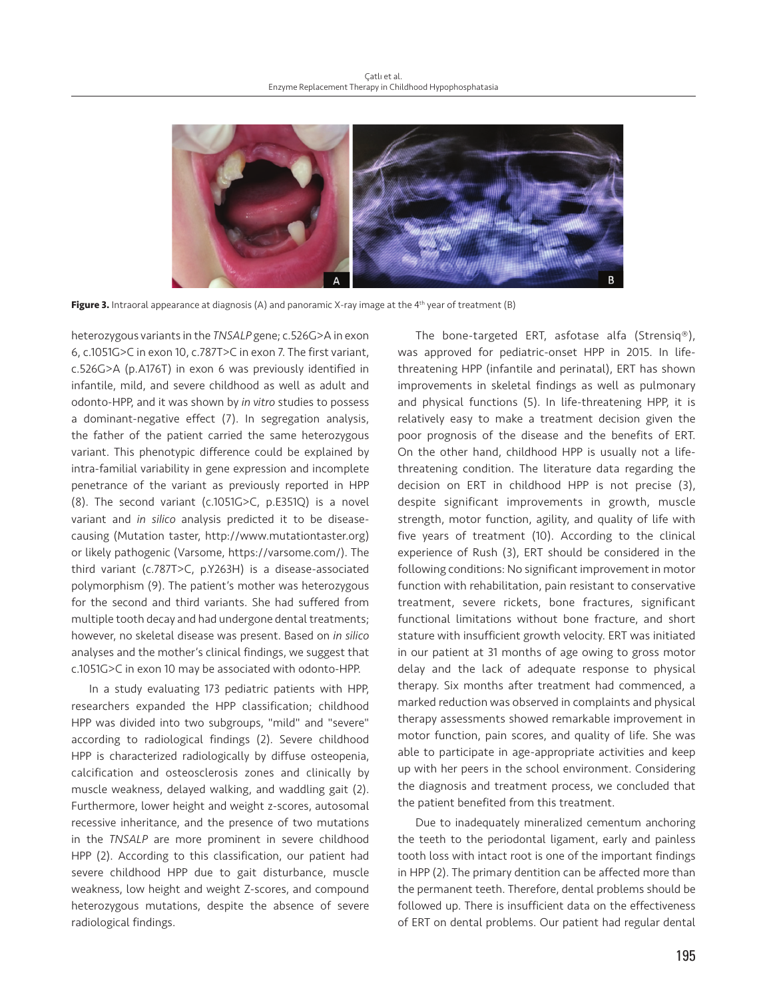

**Figure 3.** Intraoral appearance at diagnosis (A) and panoramic X-ray image at the 4<sup>th</sup> year of treatment (B)

heterozygous variants in the *TNSALP* gene; c.526G>A in exon 6, c.1051G>C in exon 10, c.787T>C in exon 7. The first variant, c.526G>A (p.A176T) in exon 6 was previously identified in infantile, mild, and severe childhood as well as adult and odonto-HPP, and it was shown by *in vitro* studies to possess a dominant-negative effect (7). In segregation analysis, the father of the patient carried the same heterozygous variant. This phenotypic difference could be explained by intra-familial variability in gene expression and incomplete penetrance of the variant as previously reported in HPP (8). The second variant (c.1051G>C, p.E351Q) is a novel variant and *in silico* analysis predicted it to be diseasecausing (Mutation taster, http://www.mutationtaster.org) or likely pathogenic (Varsome, https://varsome.com/). The third variant (c.787T>C, p.Y263H) is a disease-associated polymorphism (9). The patient's mother was heterozygous for the second and third variants. She had suffered from multiple tooth decay and had undergone dental treatments; however, no skeletal disease was present. Based on *in silico* analyses and the mother's clinical findings, we suggest that c.1051G>C in exon 10 may be associated with odonto-HPP.

In a study evaluating 173 pediatric patients with HPP, researchers expanded the HPP classification; childhood HPP was divided into two subgroups, "mild" and "severe" according to radiological findings (2). Severe childhood HPP is characterized radiologically by diffuse osteopenia, calcification and osteosclerosis zones and clinically by muscle weakness, delayed walking, and waddling gait (2). Furthermore, lower height and weight z-scores, autosomal recessive inheritance, and the presence of two mutations in the *TNSALP* are more prominent in severe childhood HPP (2). According to this classification, our patient had severe childhood HPP due to gait disturbance, muscle weakness, low height and weight Z-scores, and compound heterozygous mutations, despite the absence of severe radiological findings.

The bone-targeted ERT, asfotase alfa (Strensiq®), was approved for pediatric-onset HPP in 2015. In lifethreatening HPP (infantile and perinatal), ERT has shown improvements in skeletal findings as well as pulmonary and physical functions (5). In life-threatening HPP, it is relatively easy to make a treatment decision given the poor prognosis of the disease and the benefits of ERT. On the other hand, childhood HPP is usually not a lifethreatening condition. The literature data regarding the decision on ERT in childhood HPP is not precise (3), despite significant improvements in growth, muscle strength, motor function, agility, and quality of life with five years of treatment (10). According to the clinical experience of Rush (3), ERT should be considered in the following conditions: No significant improvement in motor function with rehabilitation, pain resistant to conservative treatment, severe rickets, bone fractures, significant functional limitations without bone fracture, and short stature with insufficient growth velocity. ERT was initiated in our patient at 31 months of age owing to gross motor delay and the lack of adequate response to physical therapy. Six months after treatment had commenced, a marked reduction was observed in complaints and physical therapy assessments showed remarkable improvement in motor function, pain scores, and quality of life. She was able to participate in age-appropriate activities and keep up with her peers in the school environment. Considering the diagnosis and treatment process, we concluded that the patient benefited from this treatment.

Due to inadequately mineralized cementum anchoring the teeth to the periodontal ligament, early and painless tooth loss with intact root is one of the important findings in HPP (2). The primary dentition can be affected more than the permanent teeth. Therefore, dental problems should be followed up. There is insufficient data on the effectiveness of ERT on dental problems. Our patient had regular dental